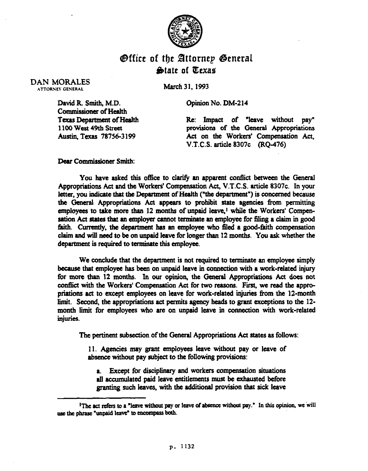

## **Office of the Attornep General State of Texas**

DAN MORALES **ATTORNEY GENERAL** 

March 31.1993

Opinion No. DM-214

David R. Smith, M.D. Commissioner of Health Texas Department of Health 1100 West 49th Street Austiq Texas 78756-3 199

Re: Impact of "leave without pay" provisions of the General Appropriations Act on the Workers' Compensation Act, V.T.C.S. article 8307c (RQ-476)

Dear Commissioner Smith:

You have asked this office to clarify an apparent conflict between the General Appropriations Act and the Workers' Compensation Act, V.T.C.S. article 8307c. In your letter, you indicate that the Department of Health ("the department") is concerned because the General Appropriations Act appears to prohibit state agencies from permitting employees to take more than  $12$  months of unpaid leave,<sup>1</sup> while the Workers' Compensation Act states that an employer cannot terminate an employee for filing a claim in good faith. Currently, the department has an employee who filed a good-faith compensation claim and will need to be on unpaid leave for longer than 12 months. You ask whether the department is required to terminate this employee.

We conclude that the department is not required to terminate an employee simply because that employee has been on unpaid leave in connection with a work-related injury for more than 12 months. In our opinion, the General Appropriations Act does not conflict with the Workers' Compensation Act for two reasons. First, we read the appropriations act to except employees on leave for work-related injuries from the 12-month limit. Second, the appropriations act permits agency heads to grant exceptions to the 12 month limit for employees who are on unpaid leave in connection with work-related injuries.

The pertinent subsection of the General Appropriations Act states as follows:

Il. Agencies may grant employees leave without pay or leave of absence without pay subject to the following provisions:

a. Except for disciplinary and workers compensation situations all accumulated paid leave entitlements must be exhausted before granting such leaves, with the additional provision that sick leave

<sup>&</sup>lt;sup>1</sup>The act refers to a "leave without pay or leave of absence without pay." In this opinion, we will use the phrase "unpaid leave" to encompass both.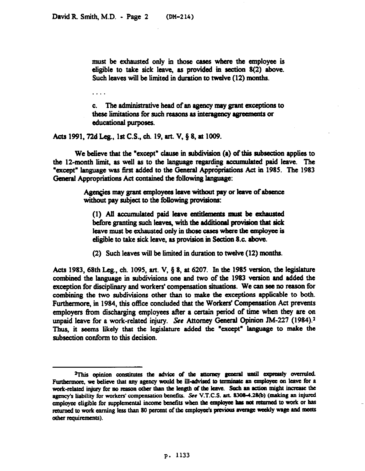. . . .

must be exhausted only in those cases where the employee is eligible to take sick leave, as provided in section 8(2) above. Such leaves will be limited in duration to twelve (12) months.

The administrative head of an agency may grant exceptions to C. these limitations for such reasons as interagency agreements or educational purposes.

Acts 1991, 72d Leg., 1st C.S., ch. 19, art. V, § 8, at 1009.

We believe that the "except" clause in subdivision (a) of this subsection applies to the 12-month limit, as well as to the language regarding accumulated paid leave. The "except" language was first added to the General Appropriations Act in 1985. The 1983 General Appropriations Act contained the following language:

> Agencies may grant employees leave without pay or leave of absence without pay subject to the following provisions:

(1) All accumulated paid leave entitlements must be exhausted before granting such leaves, with the additional provision that sick leave must be exhausted only in those cases where the employee is eligible to take sick leave, as provision in Section 8.c. above.

(2) Such leaves will be limited in duration to twelve (12) months.

Acts 1983, 68th Leg., ch. 1095, art. V,  $\S$  8, at 6207. In the 1985 version, the legislature combined the language in subdivisions one and two of the 1983 version and added the exception for disciplinary and workers' compensation situations. We can see no reason for combining the two subdivisions other than to make the exceptions applicable to both. Furthermore, in 1984, this office concluded that the Workers' Compensation Act prevents employers from discharging employees after a certain period of time when they are on unpaid leave for a work-related injury. See Attorney General Opinion JM-227 (1984).<sup>2</sup> Thus, it seems likely that the legislature added the "except" language to make the subsection conform to this decision.

<sup>&</sup>lt;sup>2</sup>This opinion constitutes the advice of the attorney general until expressly overruled. Furthermore, we believe that any agency would be ill-advised to terminate an employee on leave for a work-related injury for no reason other than the length of the leave. Such an action might increase the agency's liability for workers' compensation benefits. See V.T.C.S. art. 8308-4.28(b) (making an injured employee eligible for supplemental income benefits when the employee has not returned to work or has returned to work earning less than 80 percent of the employee's previous average weekly wage and meets other requirements).